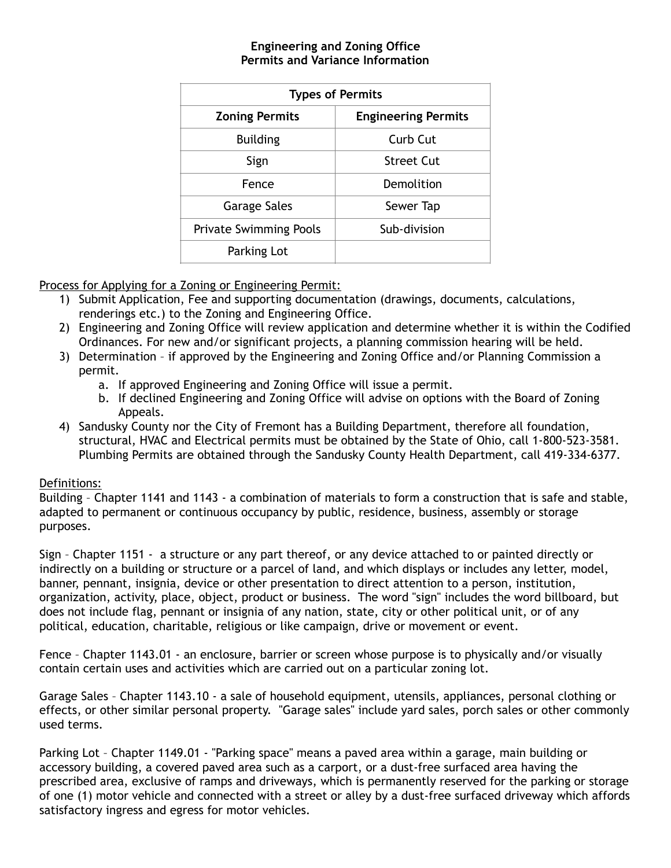## **Engineering and Zoning Office Permits and Variance Information**

| <b>Types of Permits</b>       |                            |
|-------------------------------|----------------------------|
| <b>Zoning Permits</b>         | <b>Engineering Permits</b> |
| <b>Building</b>               | Curb Cut                   |
| Sign                          | Street Cut                 |
| Fence                         | Demolition                 |
| Garage Sales                  | Sewer Tap                  |
| <b>Private Swimming Pools</b> | Sub-division               |
| Parking Lot                   |                            |
|                               |                            |

Process for Applying for a Zoning or Engineering Permit:

- 1) Submit Application, Fee and supporting documentation (drawings, documents, calculations, renderings etc.) to the Zoning and Engineering Office.
- 2) Engineering and Zoning Office will review application and determine whether it is within the Codified Ordinances. For new and/or significant projects, a planning commission hearing will be held.
- 3) Determination if approved by the Engineering and Zoning Office and/or Planning Commission a permit.
	- a. If approved Engineering and Zoning Office will issue a permit.
	- b. If declined Engineering and Zoning Office will advise on options with the Board of Zoning Appeals.
- 4) Sandusky County nor the City of Fremont has a Building Department, therefore all foundation, structural, HVAC and Electrical permits must be obtained by the State of Ohio, call 1-800-523-3581. Plumbing Permits are obtained through the Sandusky County Health Department, call 419-334-6377.

## Definitions:

Building – Chapter 1141 and 1143 - a combination of materials to form a construction that is safe and stable, adapted to permanent or continuous occupancy by public, residence, business, assembly or storage purposes.

Sign – Chapter 1151 - a structure or any part thereof, or any device attached to or painted directly or indirectly on a building or structure or a parcel of land, and which displays or includes any letter, model, banner, pennant, insignia, device or other presentation to direct attention to a person, institution, organization, activity, place, object, product or business. The word "sign" includes the word billboard, but does not include flag, pennant or insignia of any nation, state, city or other political unit, or of any political, education, charitable, religious or like campaign, drive or movement or event.

Fence – Chapter 1143.01 - an enclosure, barrier or screen whose purpose is to physically and/or visually contain certain uses and activities which are carried out on a particular zoning lot.

Garage Sales – Chapter 1143.10 - a sale of household equipment, utensils, appliances, personal clothing or effects, or other similar personal property. "Garage sales" include yard sales, porch sales or other commonly used terms.

Parking Lot – Chapter 1149.01 - "Parking space" means a paved area within a garage, main building or accessory building, a covered paved area such as a carport, or a dust-free surfaced area having the prescribed area, exclusive of ramps and driveways, which is permanently reserved for the parking or storage of one (1) motor vehicle and connected with a street or alley by a dust-free surfaced driveway which affords satisfactory ingress and egress for motor vehicles.